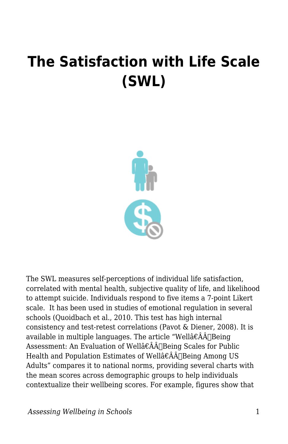## **The Satisfaction with Life Scale (SWL)**



The SWL measures self-perceptions of individual life satisfaction, correlated with mental health, subjective quality of life, and likelihood to attempt suicide. Individuals respond to five items a 7-point Likert scale. It has been used in studies of emotional regulation in several schools (Quoidbach et al., 2010. This test has high internal consistency and test-retest correlations (Pavot & Diener, 2008). It is available in multiple languages. The article "Wellâ $\epsilon \hat{A}$ A $\beta$ Assessment: An Evaluation of Wellâ€ÂÂ∏Being Scales for Public Health and Population Estimates of Wellâ€ÂÂ∏Being Among US Adults" compares it to national norms, providing several charts with the mean scores across demographic groups to help individuals contextualize their wellbeing scores. For example, figures show that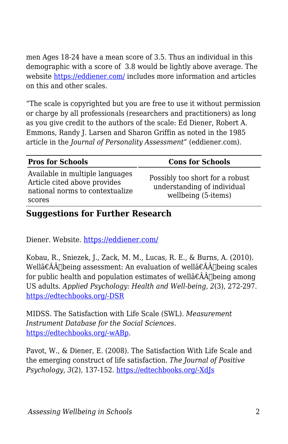men Ages 18-24 have a mean score of 3.5. Thus an individual in this demographic with a score of 3.8 would be lightly above average. The website<https://eddiener.com/>includes more information and articles on this and other scales.

"The scale is copyrighted but you are free to use it without permission or charge by all professionals (researchers and practitioners) as long as you give credit to the authors of the scale: Ed Diener, Robert A. Emmons, Randy J. Larsen and Sharon Griffin as noted in the 1985 article in the *Journal of Personality Assessment*" (eddiener.com).

| <b>Pros for Schools</b>                                                                                      | <b>Cons for Schools</b>                                                               |
|--------------------------------------------------------------------------------------------------------------|---------------------------------------------------------------------------------------|
| Available in multiple languages<br>Article cited above provides<br>national norms to contextualize<br>scores | Possibly too short for a robust<br>understanding of individual<br>wellbeing (5-items) |

## **Suggestions for Further Research**

Diener. Website. <https://eddiener.com/>

Kobau, R., Sniezek, J., Zack, M. M., Lucas, R. E., & Burns, A. (2010). Wellâ€ÂÂ∏being assessment: An evaluation of wellâ€ÂÂ∏being scales for public health and population estimates of wellâ $\hat{\epsilon}$ Â $\hat{\Delta}$ |being among US adults. *Applied Psychology: Health and Well-being, 2*(3), 272-297. [https://edtechbooks.org/-DSR](http://doi.org/10.1111/j.1758-0854.2010.01035.x)

MIDSS. The Satisfaction with Life Scale (SWL). *Measurement Instrument Database for the Social Sciences*. [https://edtechbooks.org/-wABp.](http://www.midss.org/content/satisfaction-life-scale-swl)

Pavot, W., & Diener, E. (2008). The Satisfaction With Life Scale and the emerging construct of life satisfaction. *The Journal of Positive Psychology*, *3*(2), 137-152. [https://edtechbooks.org/-XdJs](http://dx.doi.org/10.1080/17439760701756946)